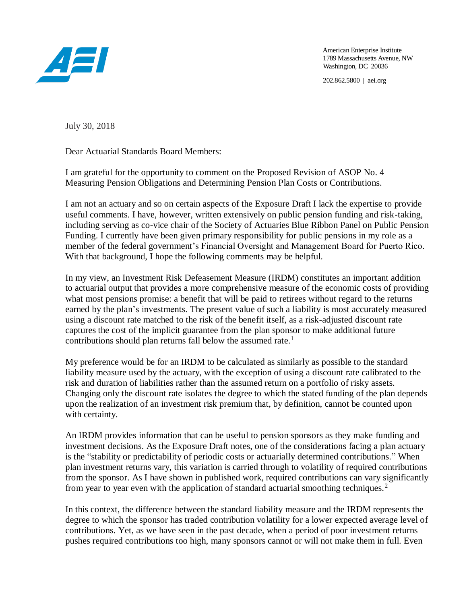

American Enterprise Institute 1789 Massachusetts Avenue, NW Washington, DC 20036

202.862.5800 | aei.org

July 30, 2018

Dear Actuarial Standards Board Members:

I am grateful for the opportunity to comment on the Proposed Revision of ASOP No. 4 – Measuring Pension Obligations and Determining Pension Plan Costs or Contributions.

I am not an actuary and so on certain aspects of the Exposure Draft I lack the expertise to provide useful comments. I have, however, written extensively on public pension funding and risk-taking, including serving as co-vice chair of the Society of Actuaries Blue Ribbon Panel on Public Pension Funding. I currently have been given primary responsibility for public pensions in my role as a member of the federal government's Financial Oversight and Management Board for Puerto Rico. With that background, I hope the following comments may be helpful.

In my view, an Investment Risk Defeasement Measure (IRDM) constitutes an important addition to actuarial output that provides a more comprehensive measure of the economic costs of providing what most pensions promise: a benefit that will be paid to retirees without regard to the returns earned by the plan's investments. The present value of such a liability is most accurately measured using a discount rate matched to the risk of the benefit itself, as a risk-adjusted discount rate captures the cost of the implicit guarantee from the plan sponsor to make additional future contributions should plan returns fall below the assumed rate.<sup>1</sup>

My preference would be for an IRDM to be calculated as similarly as possible to the standard liability measure used by the actuary, with the exception of using a discount rate calibrated to the risk and duration of liabilities rather than the assumed return on a portfolio of risky assets. Changing only the discount rate isolates the degree to which the stated funding of the plan depends upon the realization of an investment risk premium that, by definition, cannot be counted upon with certainty.

An IRDM provides information that can be useful to pension sponsors as they make funding and investment decisions. As the Exposure Draft notes, one of the considerations facing a plan actuary is the "stability or predictability of periodic costs or actuarially determined contributions." When plan investment returns vary, this variation is carried through to volatility of required contributions from the sponsor. As I have shown in published work, required contributions can vary significantly from year to year even with the application of standard actuarial smoothing techniques.<sup>2</sup>

In this context, the difference between the standard liability measure and the IRDM represents the degree to which the sponsor has traded contribution volatility for a lower expected average level of contributions. Yet, as we have seen in the past decade, when a period of poor investment returns pushes required contributions too high, many sponsors cannot or will not make them in full. Even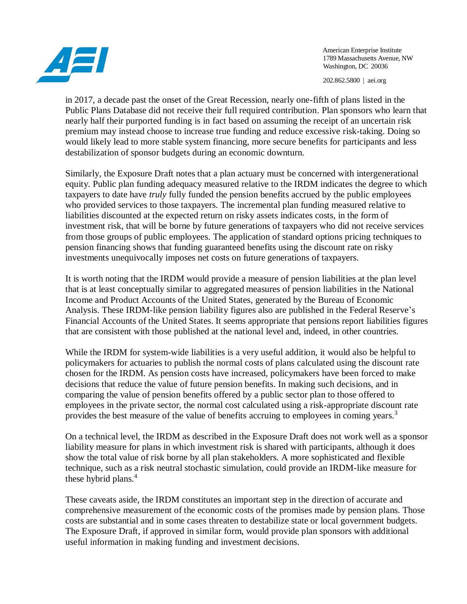

American Enterprise Institute 1789 Massachusetts Avenue, NW Washington, DC 20036

202.862.5800 | aei.org

in 2017, a decade past the onset of the Great Recession, nearly one-fifth of plans listed in the Public Plans Database did not receive their full required contribution. Plan sponsors who learn that nearly half their purported funding is in fact based on assuming the receipt of an uncertain risk premium may instead choose to increase true funding and reduce excessive risk-taking. Doing so would likely lead to more stable system financing, more secure benefits for participants and less destabilization of sponsor budgets during an economic downturn.

Similarly, the Exposure Draft notes that a plan actuary must be concerned with intergenerational equity. Public plan funding adequacy measured relative to the IRDM indicates the degree to which taxpayers to date have *truly* fully funded the pension benefits accrued by the public employees who provided services to those taxpayers. The incremental plan funding measured relative to liabilities discounted at the expected return on risky assets indicates costs, in the form of investment risk, that will be borne by future generations of taxpayers who did not receive services from those groups of public employees. The application of standard options pricing techniques to pension financing shows that funding guaranteed benefits using the discount rate on risky investments unequivocally imposes net costs on future generations of taxpayers.

It is worth noting that the IRDM would provide a measure of pension liabilities at the plan level that is at least conceptually similar to aggregated measures of pension liabilities in the National Income and Product Accounts of the United States, generated by the Bureau of Economic Analysis. These IRDM-like pension liability figures also are published in the Federal Reserve's Financial Accounts of the United States. It seems appropriate that pensions report liabilities figures that are consistent with those published at the national level and, indeed, in other countries.

While the IRDM for system-wide liabilities is a very useful addition, it would also be helpful to policymakers for actuaries to publish the normal costs of plans calculated using the discount rate chosen for the IRDM. As pension costs have increased, policymakers have been forced to make decisions that reduce the value of future pension benefits. In making such decisions, and in comparing the value of pension benefits offered by a public sector plan to those offered to employees in the private sector, the normal cost calculated using a risk-appropriate discount rate provides the best measure of the value of benefits accruing to employees in coming years.<sup>3</sup>

On a technical level, the IRDM as described in the Exposure Draft does not work well as a sponsor liability measure for plans in which investment risk is shared with participants, although it does show the total value of risk borne by all plan stakeholders. A more sophisticated and flexible technique, such as a risk neutral stochastic simulation, could provide an IRDM-like measure for these hybrid plans.<sup>4</sup>

These caveats aside, the IRDM constitutes an important step in the direction of accurate and comprehensive measurement of the economic costs of the promises made by pension plans. Those costs are substantial and in some cases threaten to destabilize state or local government budgets. The Exposure Draft, if approved in similar form, would provide plan sponsors with additional useful information in making funding and investment decisions.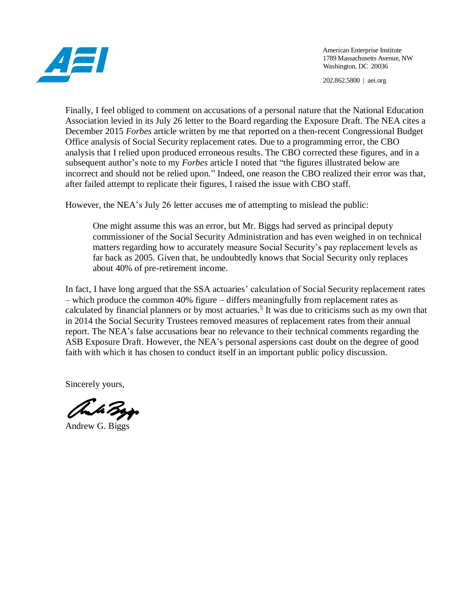

American Enterprise Institute 1789 Massachusetts Avenue, NW Washington, DC 20036

202.862.5800 | aei.org

Finally, I feel obliged to comment on accusations of a personal nature that the National Education Association levied in its July 26 letter to the Board regarding the Exposure Draft. The NEA cites a December 2015 *Forbes* article written by me that reported on a then-recent Congressional Budget Office analysis of Social Security replacement rates. Due to a programming error, the CBO analysis that I relied upon produced erroneous results. The CBO corrected these figures, and in a subsequent author's note to my *Forbes* article I noted that "the figures illustrated below are incorrect and should not be relied upon." Indeed, one reason the CBO realized their error was that, after failed attempt to replicate their figures, I raised the issue with CBO staff.

However, the NEA's July 26 letter accuses me of attempting to mislead the public:

One might assume this was an error, but Mr. Biggs had served as principal deputy commissioner of the Social Security Administration and has even weighed in on technical matters regarding how to accurately measure Social Security's pay replacement levels as far back as 2005. Given that, he undoubtedly knows that Social Security only replaces about 40% of pre-retirement income.

In fact, I have long argued that the SSA actuaries' calculation of Social Security replacement rates – which produce the common 40% figure – differs meaningfully from replacement rates as calculated by financial planners or by most actuaries.<sup>5</sup> It was due to criticisms such as my own that in 2014 the Social Security Trustees removed measures of replacement rates from their annual report. The NEA's false accusations bear no relevance to their technical comments regarding the ASB Exposure Draft. However, the NEA's personal aspersions cast doubt on the degree of good faith with which it has chosen to conduct itself in an important public policy discussion.

Sincerely yours,

and Byp

Andrew G. Biggs